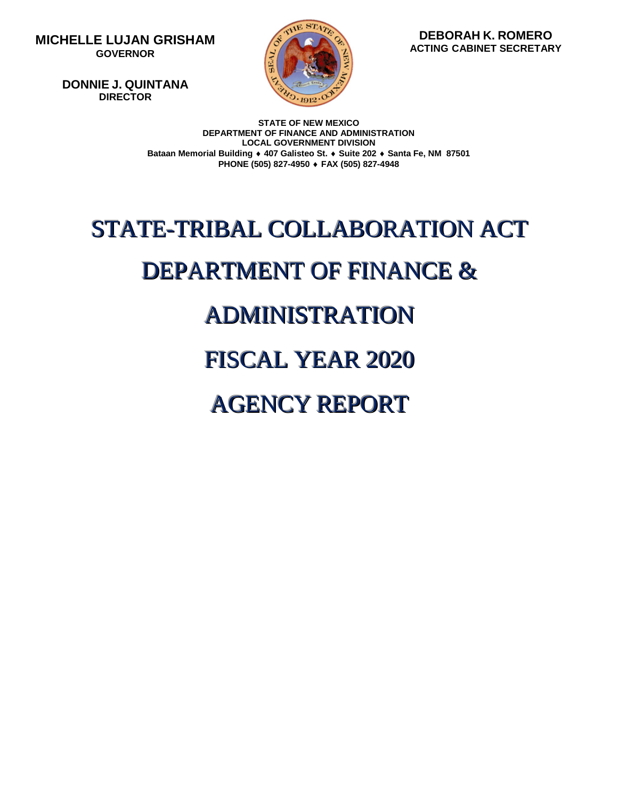**MICHELLE LUJAN GRISHAM GOVERNOR**

> **DONNIE J. QUINTANA DIRECTOR**



 **ACTING CABINET SECRETARY DEBORAH K. ROMERO**

**STATE OF NEW MEXICO DEPARTMENT OF FINANCE AND ADMINISTRATION LOCAL GOVERNMENT DIVISION Bataan Memorial Building** ♦ **407 Galisteo St.** ♦ **Suite 202** ♦ **Santa Fe, NM 87501 PHONE (505) 827-4950** ♦ **FAX (505) 827-4948**

# STATE-TRIBAL COLLABORATION ACT DEPARTMENT OF FINANCE &

## ADMINISTRATION

### FISCAL YEAR 2020

## **AGENCY REPORT**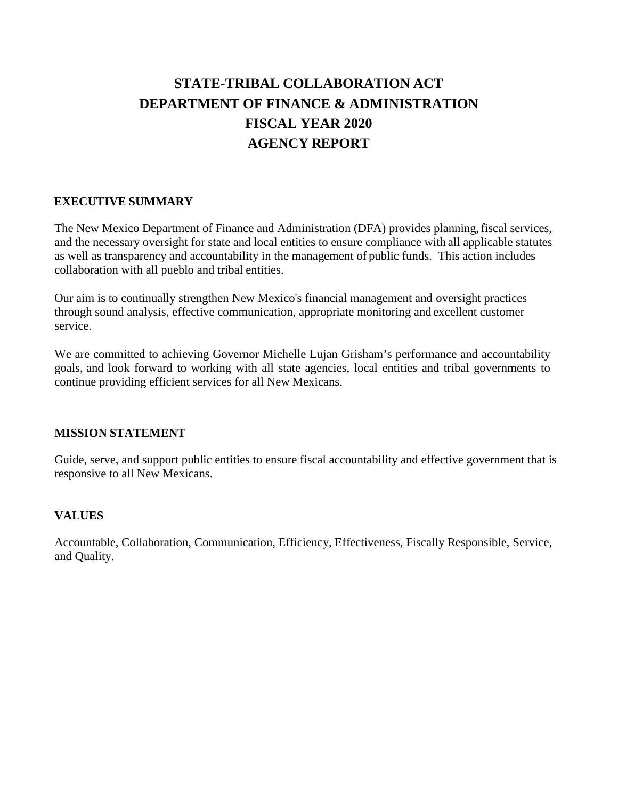### **STATE-TRIBAL COLLABORATION ACT DEPARTMENT OF FINANCE & ADMINISTRATION FISCAL YEAR 2020 AGENCY REPORT**

#### **EXECUTIVE SUMMARY**

The New Mexico Department of Finance and Administration (DFA) provides planning,fiscal services, and the necessary oversight for state and local entities to ensure compliance with all applicable statutes as well as transparency and accountability in the management of public funds. This action includes collaboration with all pueblo and tribal entities.

Our aim is to continually strengthen New Mexico's financial management and oversight practices through sound analysis, effective communication, appropriate monitoring and excellent customer service.

We are committed to achieving Governor Michelle Lujan Grisham's performance and accountability goals, and look forward to working with all state agencies, local entities and tribal governments to continue providing efficient services for all New Mexicans.

#### **MISSION STATEMENT**

Guide, serve, and support public entities to ensure fiscal accountability and effective government that is responsive to all New Mexicans.

#### **VALUES**

Accountable, Collaboration, Communication, Efficiency, Effectiveness, Fiscally Responsible, Service, and Quality.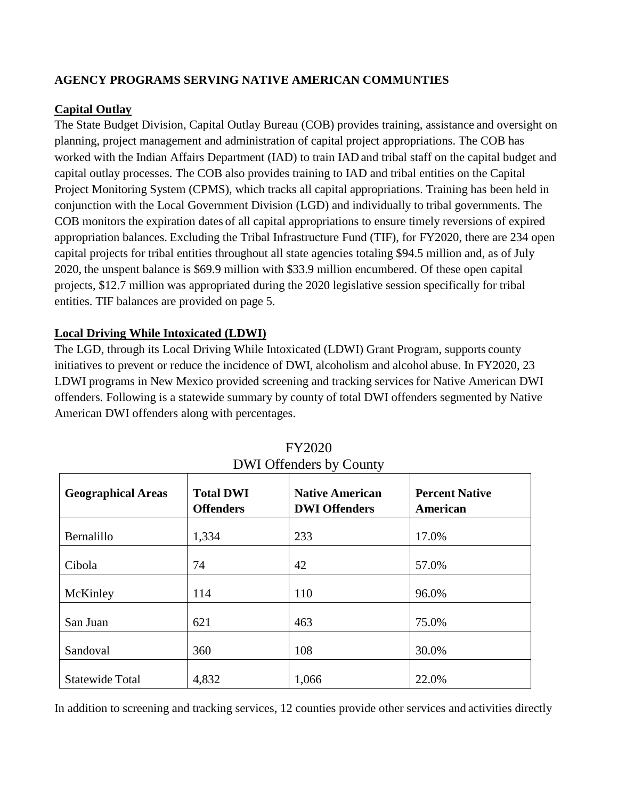#### **AGENCY PROGRAMS SERVING NATIVE AMERICAN COMMUNTIES**

#### **Capital Outlay**

The State Budget Division, Capital Outlay Bureau (COB) provides training, assistance and oversight on planning, project management and administration of capital project appropriations. The COB has worked with the Indian Affairs Department (IAD) to train IAD and tribal staff on the capital budget and capital outlay processes. The COB also provides training to IAD and tribal entities on the Capital Project Monitoring System (CPMS), which tracks all capital appropriations. Training has been held in conjunction with the Local Government Division (LGD) and individually to tribal governments. The COB monitors the expiration dates of all capital appropriations to ensure timely reversions of expired appropriation balances. Excluding the Tribal Infrastructure Fund (TIF), for FY2020, there are 234 open capital projects for tribal entities throughout all state agencies totaling \$94.5 million and, as of July 2020, the unspent balance is \$69.9 million with \$33.9 million encumbered. Of these open capital projects, \$12.7 million was appropriated during the 2020 legislative session specifically for tribal entities. TIF balances are provided on page 5.

#### **Local Driving While Intoxicated (LDWI)**

The LGD, through its Local Driving While Intoxicated (LDWI) Grant Program, supports county initiatives to prevent or reduce the incidence of DWI, alcoholism and alcohol abuse. In FY2020, 23 LDWI programs in New Mexico provided screening and tracking services for Native American DWI offenders. Following is a statewide summary by county of total DWI offenders segmented by Native American DWI offenders along with percentages.

| <b>Geographical Areas</b> | <b>Total DWI</b><br><b>Offenders</b> | <b>Native American</b><br><b>DWI Offenders</b> | <b>Percent Native</b><br>American |
|---------------------------|--------------------------------------|------------------------------------------------|-----------------------------------|
| Bernalillo                | 1,334                                | 233                                            | 17.0%                             |
| Cibola                    | 74                                   | 42                                             | 57.0%                             |
| McKinley                  | 114                                  | 110                                            | 96.0%                             |
| San Juan                  | 621                                  | 463                                            | 75.0%                             |
| Sandoval                  | 360                                  | 108                                            | 30.0%                             |
| <b>Statewide Total</b>    | 4,832                                | 1,066                                          | 22.0%                             |

FY2020 DWI Offenders by County

In addition to screening and tracking services, 12 counties provide other services and activities directly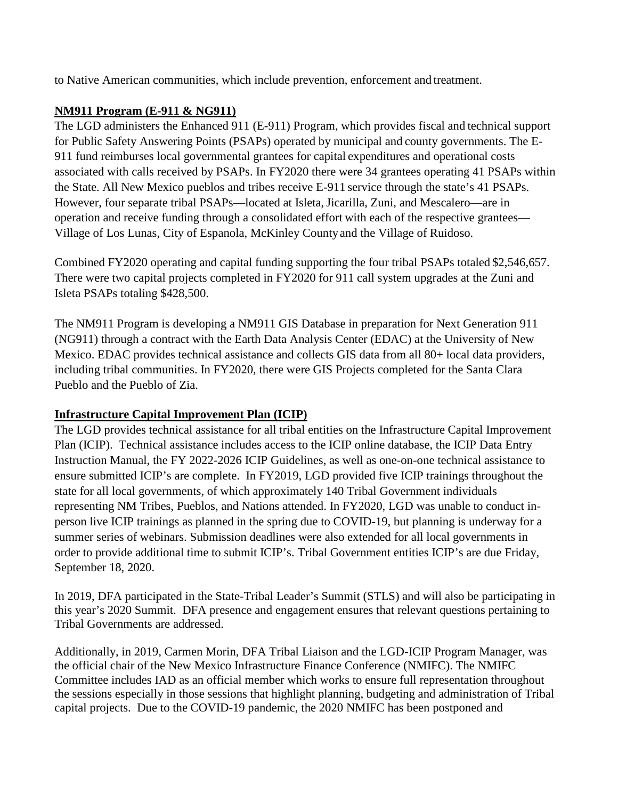to Native American communities, which include prevention, enforcement and treatment.

#### **NM911 Program (E-911 & NG911)**

The LGD administers the Enhanced 911 (E-911) Program, which provides fiscal and technical support for Public Safety Answering Points (PSAPs) operated by municipal and county governments. The E-911 fund reimburses local governmental grantees for capital expenditures and operational costs associated with calls received by PSAPs. In FY2020 there were 34 grantees operating 41 PSAPs within the State. All New Mexico pueblos and tribes receive E-911 service through the state's 41 PSAPs. However, four separate tribal PSAPs—located at Isleta, Jicarilla, Zuni, and Mescalero—are in operation and receive funding through a consolidated effort with each of the respective grantees— Village of Los Lunas, City of Espanola, McKinley Countyand the Village of Ruidoso.

Combined FY2020 operating and capital funding supporting the four tribal PSAPs totaled \$2,546,657. There were two capital projects completed in FY2020 for 911 call system upgrades at the Zuni and Isleta PSAPs totaling \$428,500.

The NM911 Program is developing a NM911 GIS Database in preparation for Next Generation 911 (NG911) through a contract with the Earth Data Analysis Center (EDAC) at the University of New Mexico. EDAC provides technical assistance and collects GIS data from all 80+ local data providers, including tribal communities. In FY2020, there were GIS Projects completed for the Santa Clara Pueblo and the Pueblo of Zia.

#### **Infrastructure Capital Improvement Plan (ICIP)**

The LGD provides technical assistance for all tribal entities on the Infrastructure Capital Improvement Plan (ICIP). Technical assistance includes access to the ICIP online database, the ICIP Data Entry Instruction Manual, the FY 2022-2026 ICIP Guidelines, as well as one-on-one technical assistance to ensure submitted ICIP's are complete. In FY2019, LGD provided five ICIP trainings throughout the state for all local governments, of which approximately 140 Tribal Government individuals representing NM Tribes, Pueblos, and Nations attended. In FY2020, LGD was unable to conduct inperson live ICIP trainings as planned in the spring due to COVID-19, but planning is underway for a summer series of webinars. Submission deadlines were also extended for all local governments in order to provide additional time to submit ICIP's. Tribal Government entities ICIP's are due Friday, September 18, 2020.

In 2019, DFA participated in the State-Tribal Leader's Summit (STLS) and will also be participating in this year's 2020 Summit. DFA presence and engagement ensures that relevant questions pertaining to Tribal Governments are addressed.

Additionally, in 2019, Carmen Morin, DFA Tribal Liaison and the LGD-ICIP Program Manager, was the official chair of the New Mexico Infrastructure Finance Conference (NMIFC). The NMIFC Committee includes IAD as an official member which works to ensure full representation throughout the sessions especially in those sessions that highlight planning, budgeting and administration of Tribal capital projects. Due to the COVID-19 pandemic, the 2020 NMIFC has been postponed and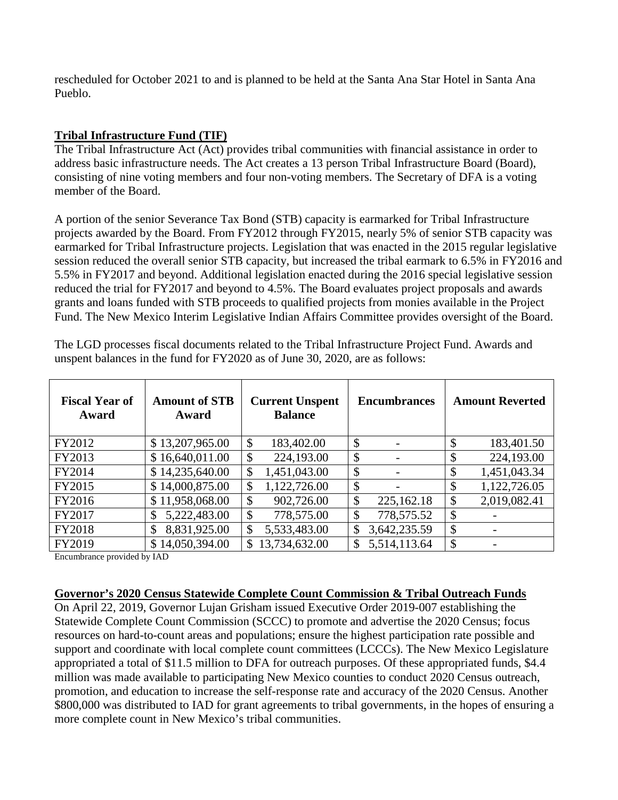rescheduled for October 2021 to and is planned to be held at the Santa Ana Star Hotel in Santa Ana Pueblo.

#### **Tribal Infrastructure Fund (TIF)**

The Tribal Infrastructure Act (Act) provides tribal communities with financial assistance in order to address basic infrastructure needs. The Act creates a 13 person Tribal Infrastructure Board (Board), consisting of nine voting members and four non-voting members. The Secretary of DFA is a voting member of the Board.

A portion of the senior Severance Tax Bond (STB) capacity is earmarked for Tribal Infrastructure projects awarded by the Board. From FY2012 through FY2015, nearly 5% of senior STB capacity was earmarked for Tribal Infrastructure projects. Legislation that was enacted in the 2015 regular legislative session reduced the overall senior STB capacity, but increased the tribal earmark to 6.5% in FY2016 and 5.5% in FY2017 and beyond. Additional legislation enacted during the 2016 special legislative session reduced the trial for FY2017 and beyond to 4.5%. The Board evaluates project proposals and awards grants and loans funded with STB proceeds to qualified projects from monies available in the Project Fund. The New Mexico Interim Legislative Indian Affairs Committee provides oversight of the Board.

The LGD processes fiscal documents related to the Tribal Infrastructure Project Fund. Awards and unspent balances in the fund for FY2020 as of June 30, 2020, are as follows:

| <b>Fiscal Year of</b><br>Award | <b>Amount of STB</b><br>Award | <b>Current Unspent</b><br><b>Balance</b> | <b>Encumbrances</b>       | <b>Amount Reverted</b> |
|--------------------------------|-------------------------------|------------------------------------------|---------------------------|------------------------|
| FY2012                         | \$13,207,965.00               | 183,402.00<br>\$                         | \$                        | \$<br>183,401.50       |
| FY2013                         | \$16,640,011.00               | 224,193.00<br>\$                         | $\boldsymbol{\mathsf{S}}$ | \$<br>224,193.00       |
| FY2014                         | \$14,235,640.00               | 1,451,043.00<br>\$                       | $\boldsymbol{\mathsf{S}}$ | 1,451,043.34<br>\$     |
| FY2015                         | \$14,000,875.00               | 1,122,726.00<br>\$                       | \$                        | 1,122,726.05<br>\$     |
| FY2016                         | \$11,958,068.00               | 902,726.00<br>\$                         | \$<br>225,162.18          | \$<br>2,019,082.41     |
| FY2017                         | 5,222,483.00<br>\$            | 778,575.00<br>\$                         | \$<br>778,575.52          | \$                     |
| <b>FY2018</b>                  | 8,831,925.00<br>\$            | 5,533,483.00<br>\$                       | 3,642,235.59<br>\$        | \$                     |
| FY2019                         | 14,050,394.00<br>$\mathbb{S}$ | 13,734,632.00<br>S                       | \$<br>5,514,113.64        | $\mathcal{S}$          |

Encumbrance provided by IAD

#### **Governor's 2020 Census Statewide Complete Count Commission & Tribal Outreach Funds**

On April 22, 2019, Governor Lujan Grisham issued Executive Order 2019-007 establishing the Statewide Complete Count Commission (SCCC) to promote and advertise the 2020 Census; focus resources on hard-to-count areas and populations; ensure the highest participation rate possible and support and coordinate with local complete count committees (LCCCs). The New Mexico Legislature appropriated a total of \$11.5 million to DFA for outreach purposes. Of these appropriated funds, \$4.4 million was made available to participating New Mexico counties to conduct 2020 Census outreach, promotion, and education to increase the self-response rate and accuracy of the 2020 Census. Another \$800,000 was distributed to IAD for grant agreements to tribal governments, in the hopes of ensuring a more complete count in New Mexico's tribal communities.